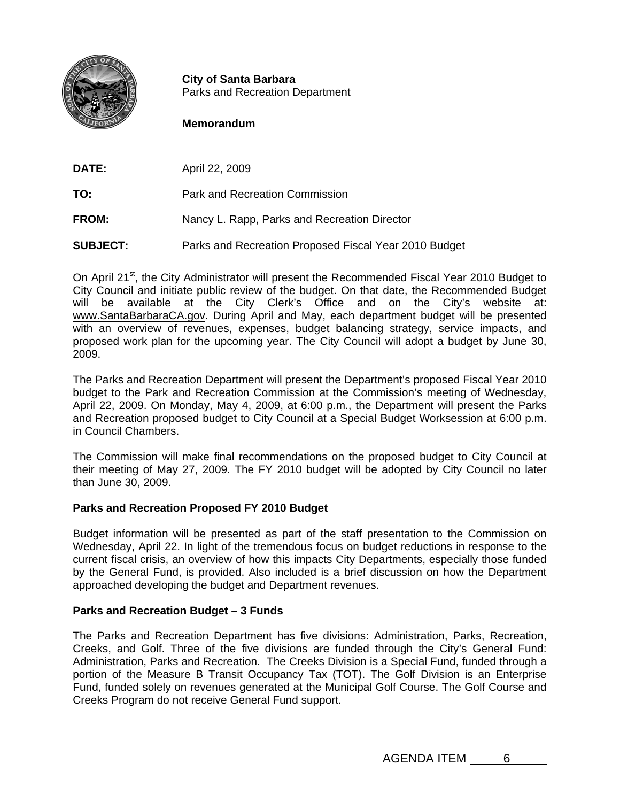

**City of Santa Barbara** Parks and Recreation Department

# **Memorandum**

| <b>DATE:</b>    | April 22, 2009                                        |
|-----------------|-------------------------------------------------------|
| TO:             | Park and Recreation Commission                        |
| <b>FROM:</b>    | Nancy L. Rapp, Parks and Recreation Director          |
| <b>SUBJECT:</b> | Parks and Recreation Proposed Fiscal Year 2010 Budget |

On April 21<sup>st</sup>, the City Administrator will present the Recommended Fiscal Year 2010 Budget to City Council and initiate public review of the budget. On that date, the Recommended Budget will be available at the City Clerk's Office and on the City's website at: www.SantaBarbaraCA.gov. During April and May, each department budget will be presented with an overview of revenues, expenses, budget balancing strategy, service impacts, and proposed work plan for the upcoming year. The City Council will adopt a budget by June 30, 2009.

The Parks and Recreation Department will present the Department's proposed Fiscal Year 2010 budget to the Park and Recreation Commission at the Commission's meeting of Wednesday, April 22, 2009. On Monday, May 4, 2009, at 6:00 p.m., the Department will present the Parks and Recreation proposed budget to City Council at a Special Budget Worksession at 6:00 p.m. in Council Chambers.

The Commission will make final recommendations on the proposed budget to City Council at their meeting of May 27, 2009. The FY 2010 budget will be adopted by City Council no later than June 30, 2009.

## **Parks and Recreation Proposed FY 2010 Budget**

Budget information will be presented as part of the staff presentation to the Commission on Wednesday, April 22. In light of the tremendous focus on budget reductions in response to the current fiscal crisis, an overview of how this impacts City Departments, especially those funded by the General Fund, is provided. Also included is a brief discussion on how the Department approached developing the budget and Department revenues.

## **Parks and Recreation Budget – 3 Funds**

The Parks and Recreation Department has five divisions: Administration, Parks, Recreation, Creeks, and Golf. Three of the five divisions are funded through the City's General Fund: Administration, Parks and Recreation. The Creeks Division is a Special Fund, funded through a portion of the Measure B Transit Occupancy Tax (TOT). The Golf Division is an Enterprise Fund, funded solely on revenues generated at the Municipal Golf Course. The Golf Course and Creeks Program do not receive General Fund support.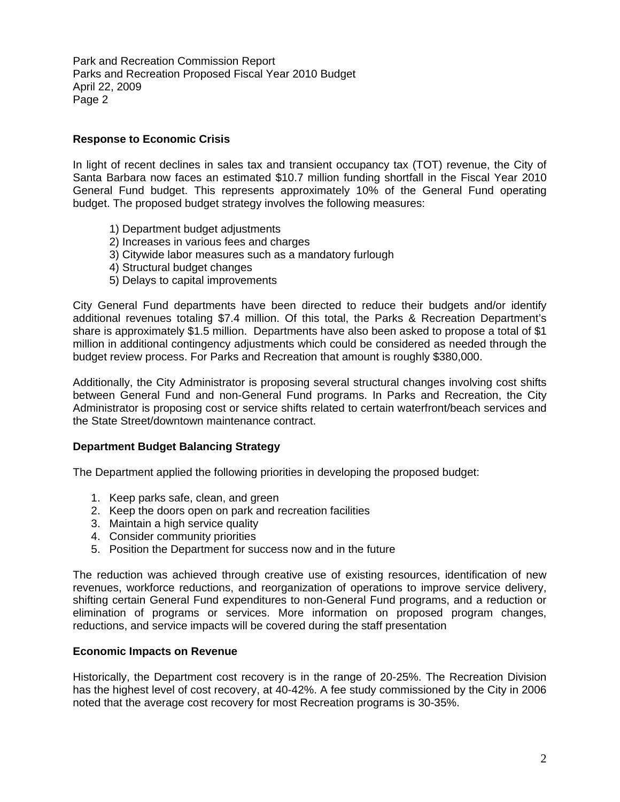Park and Recreation Commission Report Parks and Recreation Proposed Fiscal Year 2010 Budget April 22, 2009 Page 2

## **Response to Economic Crisis**

In light of recent declines in sales tax and transient occupancy tax (TOT) revenue, the City of Santa Barbara now faces an estimated \$10.7 million funding shortfall in the Fiscal Year 2010 General Fund budget. This represents approximately 10% of the General Fund operating budget. The proposed budget strategy involves the following measures:

- 1) Department budget adjustments
- 2) Increases in various fees and charges
- 3) Citywide labor measures such as a mandatory furlough
- 4) Structural budget changes
- 5) Delays to capital improvements

City General Fund departments have been directed to reduce their budgets and/or identify additional revenues totaling \$7.4 million. Of this total, the Parks & Recreation Department's share is approximately \$1.5 million. Departments have also been asked to propose a total of \$1 million in additional contingency adjustments which could be considered as needed through the budget review process. For Parks and Recreation that amount is roughly \$380,000.

Additionally, the City Administrator is proposing several structural changes involving cost shifts between General Fund and non-General Fund programs. In Parks and Recreation, the City Administrator is proposing cost or service shifts related to certain waterfront/beach services and the State Street/downtown maintenance contract.

## **Department Budget Balancing Strategy**

The Department applied the following priorities in developing the proposed budget:

- 1. Keep parks safe, clean, and green
- 2. Keep the doors open on park and recreation facilities
- 3. Maintain a high service quality
- 4. Consider community priorities
- 5. Position the Department for success now and in the future

The reduction was achieved through creative use of existing resources, identification of new revenues, workforce reductions, and reorganization of operations to improve service delivery, shifting certain General Fund expenditures to non-General Fund programs, and a reduction or elimination of programs or services. More information on proposed program changes, reductions, and service impacts will be covered during the staff presentation

## **Economic Impacts on Revenue**

Historically, the Department cost recovery is in the range of 20-25%. The Recreation Division has the highest level of cost recovery, at 40-42%. A fee study commissioned by the City in 2006 noted that the average cost recovery for most Recreation programs is 30-35%.